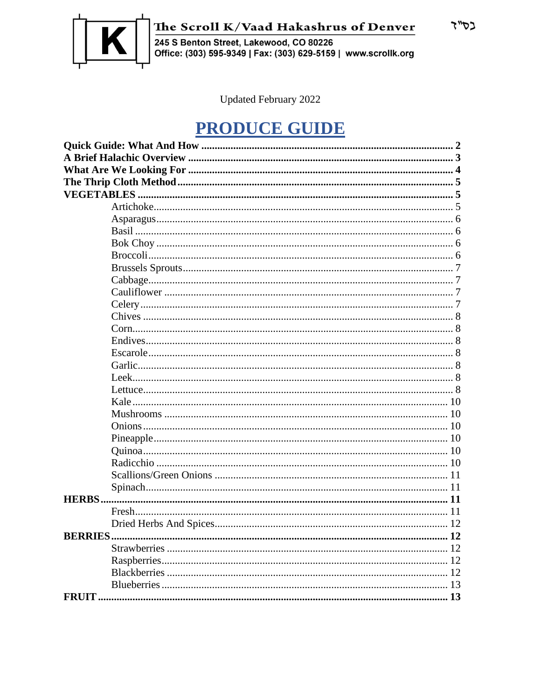

The Scroll K/Vaad Hakashrus of Denver<br>245 S Benton Street, Lakewood, CO 80226<br>Office: (303) 595-9349 | Fax: (303) 629-5159 | www.scrollk.org

Updated February 2022

# **PRODUCE GUIDE**

| <b>BERRIES</b><br>12 |  |  |  |
|----------------------|--|--|--|
|                      |  |  |  |
| 12                   |  |  |  |
|                      |  |  |  |
|                      |  |  |  |
|                      |  |  |  |

בס"ד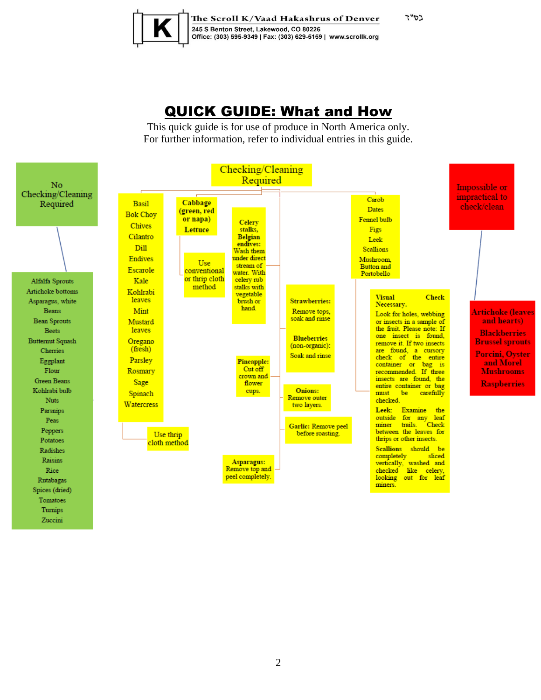

The Scroll K/Vaad Hakashrus of Denver 245 S Benton Street, Lakewood, CO 80226 Office: (303) 595-9349 | Fax: (303) 629-5159 | www.scrollk.org בס"ד

# QUICK GUIDE: What and How

This quick guide is for use of produce in North America only. For further information, refer to individual entries in this guide.

<span id="page-1-0"></span>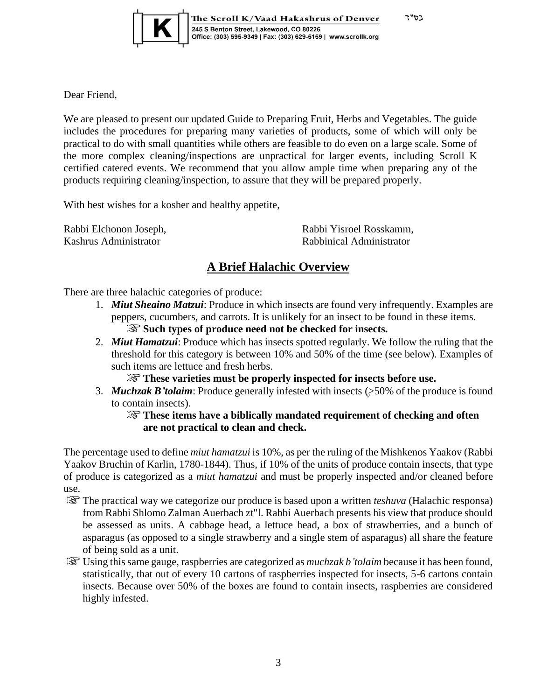

The Scroll K/Vaad Hakashrus of Denver 245 S Benton Street, Lakewood, CO 80226<br>Office: (303) 595-9349 | Fax: (303) 629-5159 | www.scrollk.org

Dear Friend,

We are pleased to present our updated Guide to Preparing Fruit, Herbs and Vegetables. The guide includes the procedures for preparing many varieties of products, some of which will only be practical to do with small quantities while others are feasible to do even on a large scale. Some of the more complex cleaning/inspections are unpractical for larger events, including Scroll K certified catered events. We recommend that you allow ample time when preparing any of the products requiring cleaning/inspection, to assure that they will be prepared properly.

With best wishes for a kosher and healthy appetite,

Rabbi Elchonon Joseph, Kashrus Administrator

Rabbi Yisroel Rosskamm, Rabbinical Administrator

בס"ד

## **A Brief Halachic Overview**

<span id="page-2-0"></span>There are three halachic categories of produce:

- 1. *Miut Sheaino Matzui*: Produce in which insects are found very infrequently. Examples are peppers, cucumbers, and carrots. It is unlikely for an insect to be found in these items. **Such types of produce need not be checked for insects.**
- 2. *Miut Hamatzui*: Produce which has insects spotted regularly. We follow the ruling that the threshold for this category is between 10% and 50% of the time (see below). Examples of such items are lettuce and fresh herbs.
	- **These varieties must be properly inspected for insects before use.**
- 3. **Muchzak B'tolaim**: Produce generally infested with insects (>50% of the produce is found to contain insects).

#### **These items have a biblically mandated requirement of checking and often are not practical to clean and check.**

The percentage used to define *miut hamatzui* is 10%, as per the ruling of the Mishkenos Yaakov (Rabbi Yaakov Bruchin of Karlin, 1780-1844). Thus, if 10% of the units of produce contain insects, that type of produce is categorized as a *miut hamatzui* and must be properly inspected and/or cleaned before use.

- The practical way we categorize our produce is based upon a written *teshuva* (Halachic responsa) from Rabbi Shlomo Zalman Auerbach zt"l. Rabbi Auerbach presents his view that produce should be assessed as units. A cabbage head, a lettuce head, a box of strawberries, and a bunch of asparagus (as opposed to a single strawberry and a single stem of asparagus) all share the feature of being sold as a unit.
- Using this same gauge, raspberries are categorized as *muchzak b'tolaim* because it has been found, statistically, that out of every 10 cartons of raspberries inspected for insects, 5-6 cartons contain insects. Because over 50% of the boxes are found to contain insects, raspberries are considered highly infested.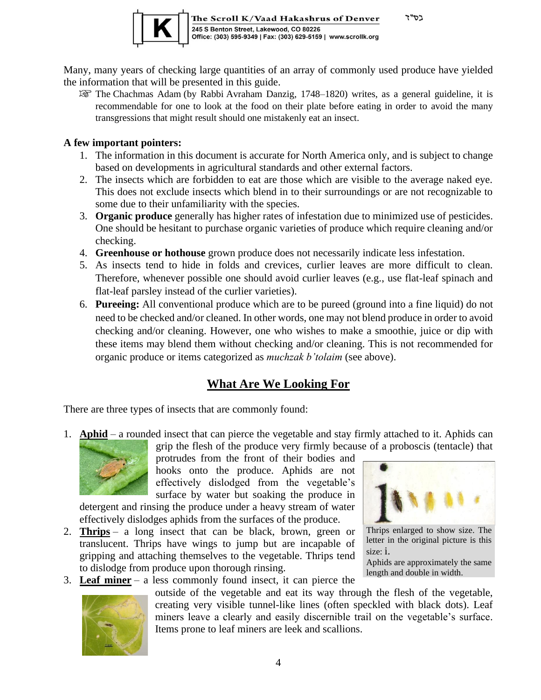

The Scroll K/Vaad Hakashrus of Denver 245 S Benton Street, Lakewood, CO 80226<br>Office: (303) 595-9349 | Fax: (303) 629-5159 | www.scrollk.org

Many, many years of checking large quantities of an array of commonly used produce have yielded the information that will be presented in this guide.

The Chachmas Adam (by Rabbi [Avraham Danzig,](https://en.wikipedia.org/wiki/Avraham_Danzig) 1748–1820) writes, as a general guideline, it is recommendable for one to look at the food on their plate before eating in order to avoid the many transgressions that might result should one mistakenly eat an insect.

#### **A few important pointers:**

- 1. The information in this document is accurate for North America only, and is subject to change based on developments in agricultural standards and other external factors.
- 2. The insects which are forbidden to eat are those which are visible to the average naked eye. This does not exclude insects which blend in to their surroundings or are not recognizable to some due to their unfamiliarity with the species.
- 3. **Organic produce** generally has higher rates of infestation due to minimized use of pesticides. One should be hesitant to purchase organic varieties of produce which require cleaning and/or checking.
- 4. **Greenhouse or hothouse** grown produce does not necessarily indicate less infestation.
- 5. As insects tend to hide in folds and crevices, curlier leaves are more difficult to clean. Therefore, whenever possible one should avoid curlier leaves (e.g., use flat-leaf spinach and flat-leaf parsley instead of the curlier varieties).
- 6. **Pureeing:** All conventional produce which are to be pureed (ground into a fine liquid) do not need to be checked and/or cleaned. In other words, one may not blend produce in order to avoid checking and/or cleaning. However, one who wishes to make a smoothie, juice or dip with these items may blend them without checking and/or cleaning. This is not recommended for organic produce or items categorized as *muchzak b'tolaim* (see above).

## **What Are We Looking For**

<span id="page-3-0"></span>There are three types of insects that are commonly found:

1. **Aphid** – a rounded insect that can pierce the vegetable and stay firmly attached to it. Aphids can grip the flesh of the produce very firmly because of a proboscis (tentacle) that



protrudes from the front of their bodies and hooks onto the produce. Aphids are not effectively dislodged from the vegetable's surface by water but soaking the produce in

detergent [and r](http://2013.igem.org/Team:KU_Leuven/Project/Aphid_Background)insing the produce under a heavy stream of water effectively dislodges aphids from the surfaces of the produce.

- 2. **Thrips** a long insect that can be black, brown, green or translucent. [Thr](https://creativecommons.org/licenses/by/3.0/)ips have wings to jump but are incapable of gripping and attaching themselves to the vegetable. Thrips tend t[o dislod](https://creativecommons.org/licenses/by/3.0/)ge from produce upon thorough rinsing.
- 3. **Leaf miner** a less commonly found insect, it can pierce the



outside of the vegetable and eat its way through the flesh of the vegetable, creating very visible tunnel-like lines (often speckled with black dots). Leaf miners leave a clearly and easily discernible trail on the vegetable's surface. Items prone to leaf miners are leek and scallions.



רסיי ד

Thrips enlarged to show size. The letter in the original picture is this size: i.

Aphids are approximately the same length and double in width.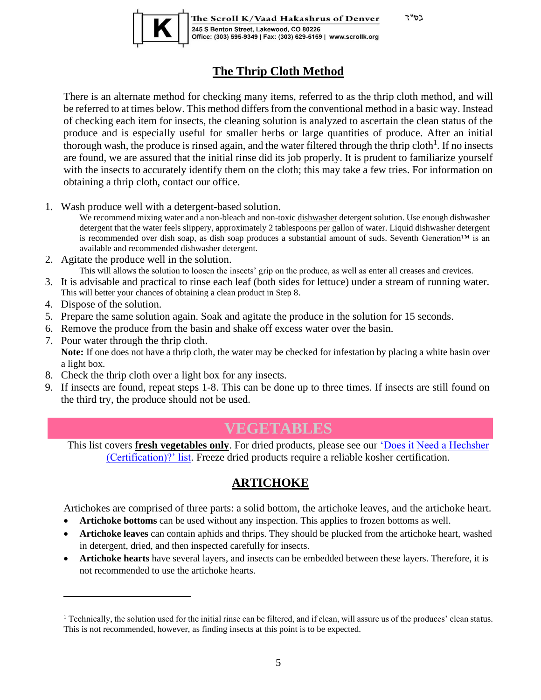בס"ד



The Scroll K/Vaad Hakashrus of Denver 245 S Benton Street, Lakewood, CO 80226 Office: (303) 595-9349 | Fax: (303) 629-5159 | www.scrollk.org

## **The Thrip Cloth Method**

<span id="page-4-0"></span>There is an alternate method for checking many items, referred to as the thrip cloth method, and will be referred to at times below. This method differs from the conventional method in a basic way. Instead of checking each item for insects, the cleaning solution is analyzed to ascertain the clean status of the produce and is especially useful for smaller herbs or large quantities of produce. After an initial thorough wash, the produce is rinsed again, and the water filtered through the thrip cloth<sup>1</sup>. If no insects are found, we are assured that the initial rinse did its job properly. It is prudent to familiarize yourself with the insects to accurately identify them on the cloth; this may take a few tries. For information on obtaining a thrip cloth, contact our office.

1. Wash produce well with a detergent-based solution.

We recommend mixing water and a non-bleach and non-toxic dishwasher detergent solution. Use enough dishwasher detergent that the water feels slippery, approximately 2 tablespoons per gallon of water. Liquid dishwasher detergent is recommended over dish soap, as dish soap produces a substantial amount of suds. Seventh Generation™ is an available and recommended dishwasher detergent.

2. Agitate the produce well in the solution.

This will allows the solution to loosen the insects' grip on the produce, as well as enter all creases and crevices.

- 3. It is advisable and practical to rinse each leaf (both sides for lettuce) under a stream of running water. This will better your chances of obtaining a clean product in Step 8.
- 4. Dispose of the solution.
- 5. Prepare the same solution again. Soak and agitate the produce in the solution for 15 seconds.
- 6. Remove the produce from the basin and shake off excess water over the basin.
- 7. Pour water through the thrip cloth. **Note:** If one does not have a thrip cloth, the water may be checked for infestation by placing a white basin over a light box.
- 8. Check the thrip cloth over a light box for any insects.
- 9. If insects are found, repeat steps 1-8. This can be done up to three times. If insects are still found on the third try, the produce should not be used.

# **VEGETABLES**

<span id="page-4-1"></span>This list covers **fresh vegetables only**. For dried products, please see our ['Does it Need a Hechsher](http://www.scrollk.org/doesitneedhechsher)  [\(Certification\)?' list.](http://www.scrollk.org/doesitneedhechsher) Freeze dried products require a reliable kosher certification.

## **ARTICHOKE**

<span id="page-4-2"></span>Artichokes are comprised of three parts: a solid bottom, the artichoke leaves, and the artichoke heart.

- **Artichoke bottoms** can be used without any inspection. This applies to frozen bottoms as well.
- **Artichoke leaves** can contain aphids and thrips. They should be plucked from the artichoke heart, washed in detergent, dried, and then inspected carefully for insects.
- **Artichoke hearts** have several layers, and insects can be embedded between these layers. Therefore, it is not recommended to use the artichoke hearts.

<sup>&</sup>lt;sup>1</sup> Technically, the solution used for the initial rinse can be filtered, and if clean, will assure us of the produces' clean status. This is not recommended, however, as finding insects at this point is to be expected.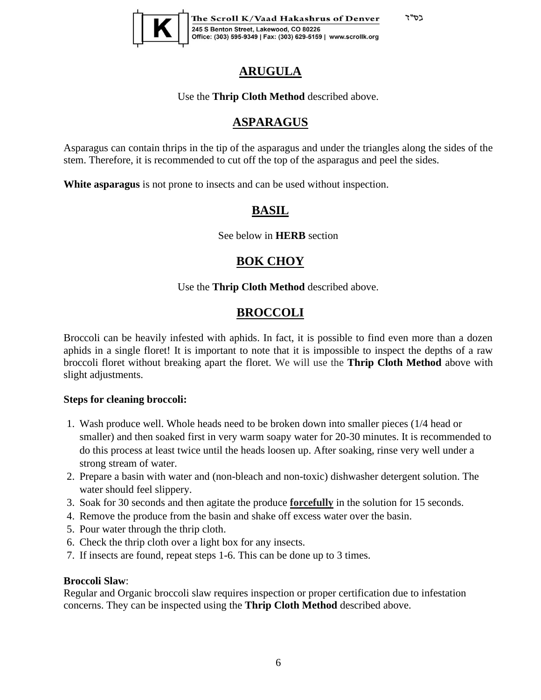בס"ד



The Scroll K/Vaad Hakashrus of Denver 245 S Benton Street, Lakewood, CO 80226<br>Office: (303) 595-9349 | Fax: (303) 629-5159 | www.scrollk.org

## **ARUGULA**

Use the **Thrip Cloth Method** described above.

## **ASPARAGUS**

<span id="page-5-0"></span>Asparagus can contain thrips in the tip of the asparagus and under the triangles along the sides of the stem. Therefore, it is recommended to cut off the top of the asparagus and peel the sides.

<span id="page-5-2"></span><span id="page-5-1"></span>**White asparagus** is not prone to insects and can be used without inspection.

## **BASIL**

See below in **HERB** section

## **BOK CHOY**

#### Use the **Thrip Cloth Method** described above.

## **BROCCOLI**

<span id="page-5-3"></span>Broccoli can be heavily infested with aphids. In fact, it is possible to find even more than a dozen aphids in a single floret! It is important to note that it is impossible to inspect the depths of a raw broccoli floret without breaking apart the floret. We will use the **Thrip Cloth Method** above with slight adjustments.

#### **Steps for cleaning broccoli:**

- 1. Wash produce well. Whole heads need to be broken down into smaller pieces (1/4 head or smaller) and then soaked first in very warm soapy water for 20-30 minutes. It is recommended to do this process at least twice until the heads loosen up. After soaking, rinse very well under a strong stream of water.
- 2. Prepare a basin with water and (non-bleach and non-toxic) dishwasher detergent solution. The water should feel slippery.
- 3. Soak for 30 seconds and then agitate the produce **forcefully** in the solution for 15 seconds.
- 4. Remove the produce from the basin and shake off excess water over the basin.
- 5. Pour water through the thrip cloth.
- 6. Check the thrip cloth over a light box for any insects.
- 7. If insects are found, repeat steps 1-6. This can be done up to 3 times.

#### **Broccoli Slaw**:

Regular and Organic broccoli slaw requires inspection or proper certification due to infestation concerns. They can be inspected using the **Thrip Cloth Method** described above.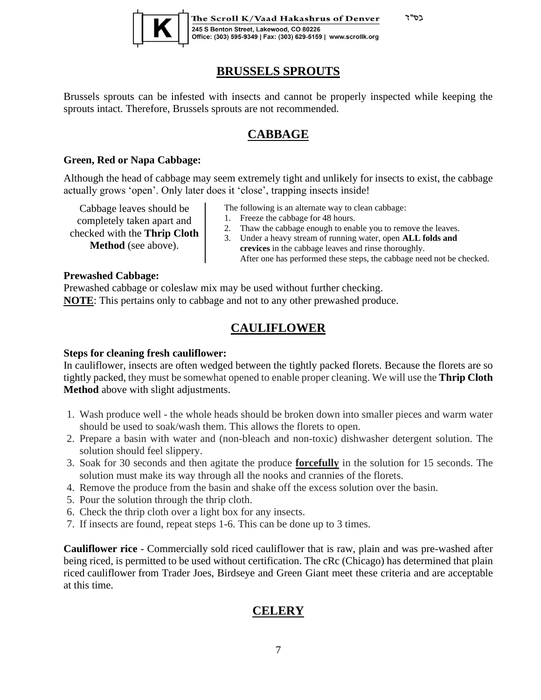

The Scroll K/Vaad Hakashrus of Denver 245 S Benton Street, Lakewood, CO 80226 Office: (303) 595-9349 | Fax: (303) 629-5159 | www.scrollk.org

#### **BRUSSELS SPROUTS**

<span id="page-6-0"></span>Brussels sprouts can be infested with insects and cannot be properly inspected while keeping the sprouts intact. Therefore, Brussels sprouts are not recommended.

#### **CABBAGE**

#### <span id="page-6-1"></span>**Green, Red or Napa Cabbage:**

Although the head of cabbage may seem extremely tight and unlikely for insects to exist, the cabbage actually grows 'open'. Only later does it 'close', trapping insects inside!

Cabbage leaves should be completely taken apart and checked with the **Thrip Cloth Method** (see above).

- The following is an alternate way to clean cabbage:
- 1. Freeze the cabbage for 48 hours.
- 2. Thaw the cabbage enough to enable you to remove the leaves.
- 3. Under a heavy stream of running water, open **ALL folds and crevices** in the cabbage leaves and rinse thoroughly. After one has performed these steps, the cabbage need not be checked.

בס"ד

#### **Prewashed Cabbage:**

Prewashed cabbage or coleslaw mix may be used without further checking. **NOTE**: This pertains only to cabbage and not to any other prewashed produce.

#### **CAULIFLOWER**

#### <span id="page-6-2"></span>**Steps for cleaning fresh cauliflower:**

In cauliflower, insects are often wedged between the tightly packed florets. Because the florets are so tightly packed, they must be somewhat opened to enable proper cleaning. We will use the **Thrip Cloth Method** above with slight adjustments.

- 1. Wash produce well the whole heads should be broken down into smaller pieces and warm water should be used to soak/wash them. This allows the florets to open.
- 2. Prepare a basin with water and (non-bleach and non-toxic) dishwasher detergent solution. The solution should feel slippery.
- 3. Soak for 30 seconds and then agitate the produce **forcefully** in the solution for 15 seconds. The solution must make its way through all the nooks and crannies of the florets.
- 4. Remove the produce from the basin and shake off the excess solution over the basin.
- 5. Pour the solution through the thrip cloth.
- 6. Check the thrip cloth over a light box for any insects.
- 7. If insects are found, repeat steps 1-6. This can be done up to 3 times.

<span id="page-6-3"></span>**Cauliflower rice** - Commercially sold riced cauliflower that is raw, plain and was pre-washed after being riced, is permitted to be used without certification. The cRc (Chicago) has determined that plain riced cauliflower from Trader Joes, Birdseye and Green Giant meet these criteria and are acceptable at this time.

## **CELERY**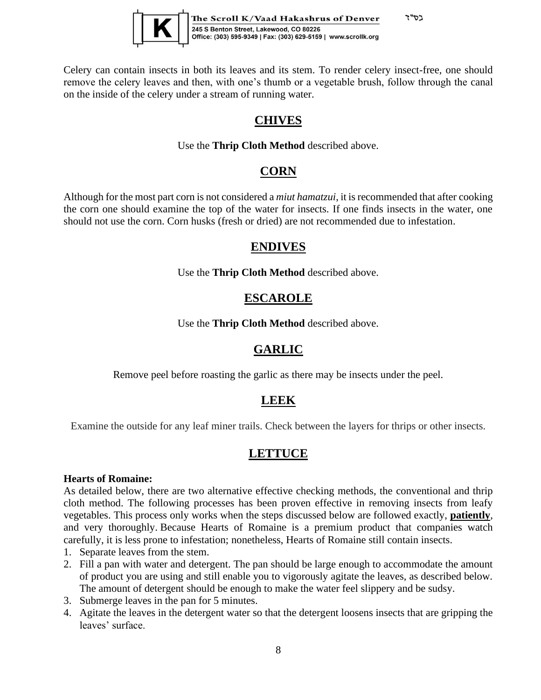

<span id="page-7-0"></span>Celery can contain insects in both its leaves and its stem. To render celery insect-free, one should remove the celery leaves and then, with one's thumb or a vegetable brush, follow through the canal on the inside of the celery under a stream of running water.

## **CHIVES**

#### Use the **Thrip Cloth Method** described above.

#### **CORN**

<span id="page-7-3"></span><span id="page-7-2"></span><span id="page-7-1"></span>Although for the most part corn is not considered a *miut hamatzui*, it is recommended that after cooking the corn one should examine the top of the water for insects. If one finds insects in the water, one should not use the corn. Corn husks (fresh or dried) are not recommended due to infestation.

#### **ENDIVES**

Use the **Thrip Cloth Method** described above.

#### **ESCAROLE**

Use the **Thrip Cloth Method** described above.

## **GARLIC**

<span id="page-7-4"></span>Remove peel before roasting the garlic as there may be insects under the peel.

## **LEEK**

<span id="page-7-5"></span>Examine the outside for any leaf miner trails. Check between the layers for thrips or other insects.

## **LETTUCE**

#### <span id="page-7-6"></span>**Hearts of Romaine:**

As detailed below, there are two alternative effective checking methods, the conventional and thrip cloth method. The following processes has been proven effective in removing insects from leafy vegetables. This process only works when the steps discussed below are followed exactly, **patiently**, and very thoroughly. Because Hearts of Romaine is a premium product that companies watch carefully, it is less prone to infestation; nonetheless, Hearts of Romaine still contain insects.

- 1. Separate leaves from the stem.
- 2. Fill a pan with water and detergent. The pan should be large enough to accommodate the amount of product you are using and still enable you to vigorously agitate the leaves, as described below. The amount of detergent should be enough to make the water feel slippery and be sudsy.
- 3. Submerge leaves in the pan for 5 minutes.
- 4. Agitate the leaves in the detergent water so that the detergent loosens insects that are gripping the leaves' surface.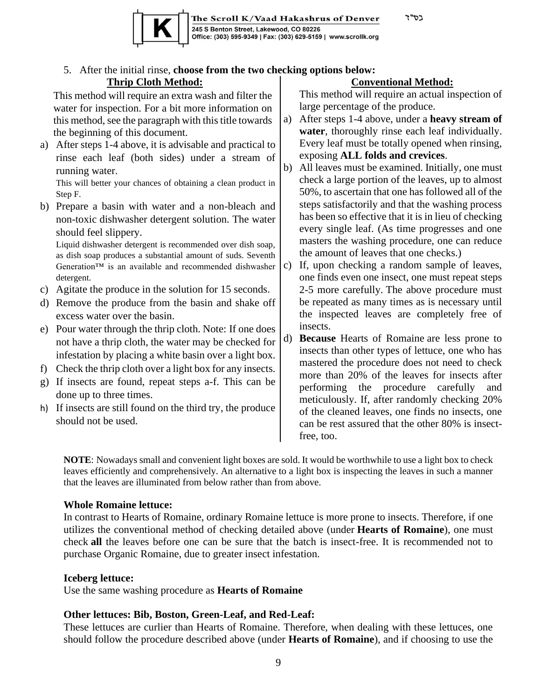



#### 5. After the initial rinse, **choose from the two checking options below: Thrip Cloth Method: Conventional Method:**

This method will require an extra wash and filter the water for inspection. For a bit more information on this method, see the paragraph with this title towards the beginning of this document.

a) After steps 1-4 above, it is advisable and practical to rinse each leaf (both sides) under a stream of running water.

This will better your chances of obtaining a clean product in Step F.

b) Prepare a basin with water and a non-bleach and non-toxic dishwasher detergent solution. The water should feel slippery.

Liquid dishwasher detergent is recommended over dish soap, as dish soap produces a substantial amount of suds. Seventh Generation™ is an available and recommended dishwasher detergent.

- c) Agitate the produce in the solution for 15 seconds.
- d) Remove the produce from the basin and shake off excess water over the basin.
- e) Pour water through the thrip cloth. Note: If one does not have a thrip cloth, the water may be checked for infestation by placing a white basin over a light box.
- f) Check the thrip cloth over a light box for any insects.
- g) If insects are found, repeat steps a-f. This can be done up to three times.
- h) If insects are still found on the third try, the produce should not be used.

This method will require an actual inspection of large percentage of the produce.

- a) After steps 1-4 above, under a **heavy stream of water**, thoroughly rinse each leaf individually. Every leaf must be totally opened when rinsing, exposing **ALL folds and crevices**.
- b) All leaves must be examined. Initially, one must check a large portion of the leaves, up to almost 50%, to ascertain that one has followed all of the steps satisfactorily and that the washing process has been so effective that it is in lieu of checking every single leaf. (As time progresses and one masters the washing procedure, one can reduce the amount of leaves that one checks.)
- c) If, upon checking a random sample of leaves, one finds even one insect, one must repeat steps 2-5 more carefully. The above procedure must be repeated as many times as is necessary until the inspected leaves are completely free of insects.
- d) **Because** Hearts of Romaine are less prone to insects than other types of lettuce, one who has mastered the procedure does not need to check more than 20% of the leaves for insects after performing the procedure carefully and meticulously. If, after randomly checking 20% of the cleaned leaves, one finds no insects, one can be rest assured that the other 80% is insectfree, too.

**NOTE**: Nowadays small and convenient light boxes are sold. It would be worthwhile to use a light box to check leaves efficiently and comprehensively. An alternative to a light box is inspecting the leaves in such a manner that the leaves are illuminated from below rather than from above.

#### **Whole Romaine lettuce:**

In contrast to Hearts of Romaine, ordinary Romaine lettuce is more prone to insects. Therefore, if one utilizes the conventional method of checking detailed above (under **Hearts of Romaine**), one must check **all** the leaves before one can be sure that the batch is insect-free. It is recommended not to purchase Organic Romaine, due to greater insect infestation.

#### **Iceberg lettuce:**

Use the same washing procedure as **Hearts of Romaine**

#### **Other lettuces: Bib, Boston, Green-Leaf, and Red-Leaf:**

These lettuces are curlier than Hearts of Romaine. Therefore, when dealing with these lettuces, one should follow the procedure described above (under **Hearts of Romaine**), and if choosing to use the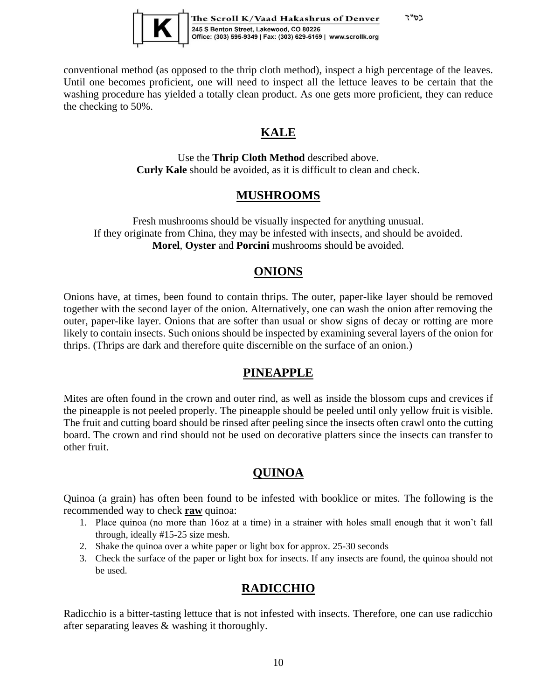

<span id="page-9-0"></span>conventional method (as opposed to the thrip cloth method), inspect a high percentage of the leaves. Until one becomes proficient, one will need to inspect all the lettuce leaves to be certain that the washing procedure has yielded a totally clean product. As one gets more proficient, they can reduce the checking to 50%.

## **KALE**

Use the **Thrip Cloth Method** described above. **Curly Kale** should be avoided, as it is difficult to clean and check.

## **MUSHROOMS**

<span id="page-9-1"></span>Fresh mushrooms should be visually inspected for anything unusual. If they originate from China, they may be infested with insects, and should be avoided. **Morel**, **Oyster** and **Porcini** mushrooms should be avoided.

#### **ONIONS**

<span id="page-9-2"></span>Onions have, at times, been found to contain thrips. The outer, paper-like layer should be removed together with the second layer of the onion. Alternatively, one can wash the onion after removing the outer, paper-like layer. Onions that are softer than usual or show signs of decay or rotting are more likely to contain insects. Such onions should be inspected by examining several layers of the onion for thrips. (Thrips are dark and therefore quite discernible on the surface of an onion.)

## **PINEAPPLE**

<span id="page-9-3"></span>Mites are often found in the crown and outer rind, as well as inside the blossom cups and crevices if the pineapple is not peeled properly. The pineapple should be peeled until only yellow fruit is visible. The fruit and cutting board should be rinsed after peeling since the insects often crawl onto the cutting board. The crown and rind should not be used on decorative platters since the insects can transfer to other fruit.

## **QUINOA**

<span id="page-9-4"></span>Quinoa (a grain) has often been found to be infested with booklice or mites. The following is the recommended way to check **raw** quinoa:

- 1. Place quinoa (no more than 16oz at a time) in a strainer with holes small enough that it won't fall through, ideally #15-25 size mesh.
- 2. Shake the quinoa over a white paper or light box for approx. 25-30 seconds
- 3. Check the surface of the paper or light box for insects. If any insects are found, the quinoa should not be used.

## **RADICCHIO**

<span id="page-9-5"></span>Radicchio is a bitter-tasting lettuce that is not infested with insects. Therefore, one can use radicchio after separating leaves & washing it thoroughly.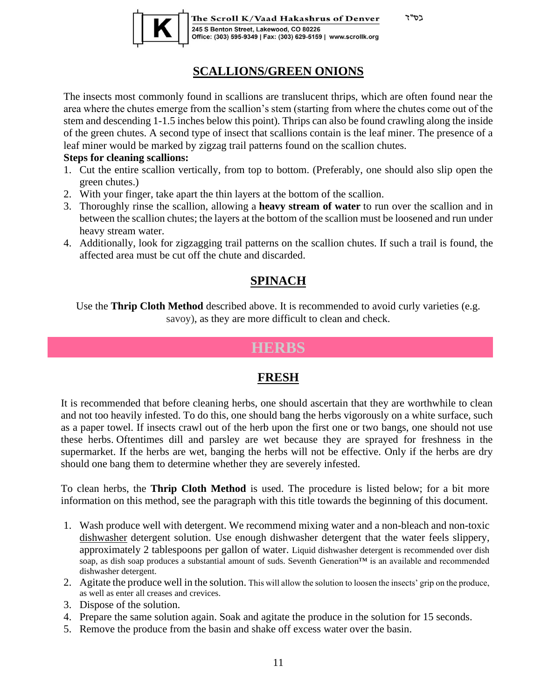

The Scroll K/Vaad Hakashrus of Denver 245 S Benton Street, Lakewood, CO 80226 Office: (303) 595-9349 | Fax: (303) 629-5159 | www.scrollk.org בס"ד

#### **SCALLIONS/GREEN ONIONS**

<span id="page-10-0"></span>The insects most commonly found in scallions are translucent thrips, which are often found near the area where the chutes emerge from the scallion's stem (starting from where the chutes come out of the stem and descending 1-1.5 inches below this point). Thrips can also be found crawling along the inside of the green chutes. A second type of insect that scallions contain is the leaf miner. The presence of a leaf miner would be marked by zigzag trail patterns found on the scallion chutes.

#### **Steps for cleaning scallions:**

- 1. Cut the entire scallion vertically, from top to bottom. (Preferably, one should also slip open the green chutes.)
- 2. With your finger, take apart the thin layers at the bottom of the scallion.
- 3. Thoroughly rinse the scallion, allowing a **heavy stream of water** to run over the scallion and in between the scallion chutes; the layers at the bottom of the scallion must be loosened and run under heavy stream water.
- <span id="page-10-1"></span>4. Additionally, look for zigzagging trail patterns on the scallion chutes. If such a trail is found, the affected area must be cut off the chute and discarded.

## **SPINACH**

<span id="page-10-2"></span>Use the **Thrip Cloth Method** described above. It is recommended to avoid curly varieties (e.g. savoy), as they are more difficult to clean and check.

## **HERBS**

#### **FRESH**

<span id="page-10-3"></span>It is recommended that before cleaning herbs, one should ascertain that they are worthwhile to clean and not too heavily infested. To do this, one should bang the herbs vigorously on a white surface, such as a paper towel. If insects crawl out of the herb upon the first one or two bangs, one should not use these herbs. Oftentimes dill and parsley are wet because they are sprayed for freshness in the supermarket. If the herbs are wet, banging the herbs will not be effective. Only if the herbs are dry should one bang them to determine whether they are severely infested.

To clean herbs, the **Thrip Cloth Method** is used. The procedure is listed below; for a bit more information on this method, see the paragraph with this title towards the beginning of this document.

- 1. Wash produce well with detergent. We recommend mixing water and a non-bleach and non-toxic dishwasher detergent solution. Use enough dishwasher detergent that the water feels slippery, approximately 2 tablespoons per gallon of water. Liquid dishwasher detergent is recommended over dish soap, as dish soap produces a substantial amount of suds. Seventh Generation™ is an available and recommended dishwasher detergent.
- 2. Agitate the produce well in the solution. This will allow the solution to loosen the insects' grip on the produce, as well as enter all creases and crevices.
- 3. Dispose of the solution.
- 4. Prepare the same solution again. Soak and agitate the produce in the solution for 15 seconds.
- 5. Remove the produce from the basin and shake off excess water over the basin.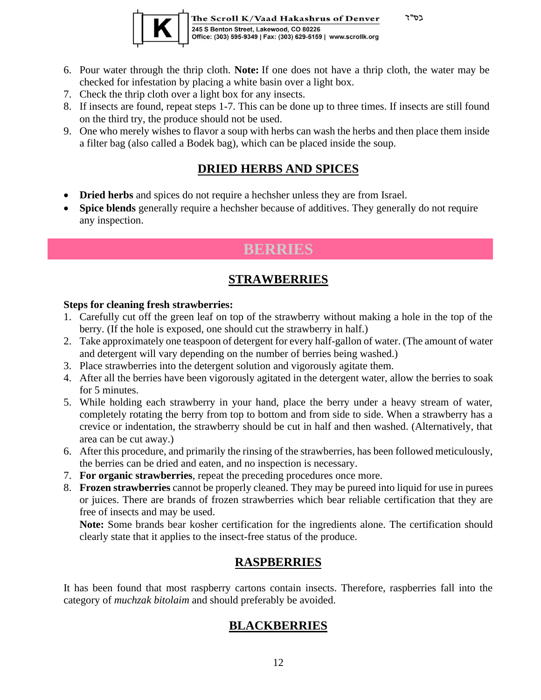

The Scroll K/Vaad Hakashrus of Denver 245 S Benton Street, Lakewood, CO 80226<br>Office: (303) 595-9349 | Fax: (303) 629-5159 | www.scrollk.org

בס"ד

- 6. Pour water through the thrip cloth. **Note:** If one does not have a thrip cloth, the water may be checked for infestation by placing a white basin over a light box.
- 7. Check the thrip cloth over a light box for any insects.
- 8. If insects are found, repeat steps 1-7. This can be done up to three times. If insects are still found on the third try, the produce should not be used.
- 9. One who merely wishes to flavor a soup with herbs can wash the herbs and then place them inside a filter bag (also called a Bodek bag), which can be placed inside the soup.

#### **DRIED HERBS AND SPICES**

- <span id="page-11-0"></span>• **Dried herbs** and spices do not require a hechsher unless they are from Israel.
- <span id="page-11-1"></span>• **Spice blends** generally require a hechsher because of additives. They generally do not require any inspection.

# **BERRIES**

## **STRAWBERRIES**

#### <span id="page-11-2"></span>**Steps for cleaning fresh strawberries:**

- 1. Carefully cut off the green leaf on top of the strawberry without making a hole in the top of the berry. (If the hole is exposed, one should cut the strawberry in half.)
- 2. Take approximately one teaspoon of detergent for every half-gallon of water. (The amount of water and detergent will vary depending on the number of berries being washed.)
- 3. Place strawberries into the detergent solution and vigorously agitate them.
- 4. After all the berries have been vigorously agitated in the detergent water, allow the berries to soak for 5 minutes.
- 5. While holding each strawberry in your hand, place the berry under a heavy stream of water, completely rotating the berry from top to bottom and from side to side. When a strawberry has a crevice or indentation, the strawberry should be cut in half and then washed. (Alternatively, that area can be cut away.)
- 6. After this procedure, and primarily the rinsing of the strawberries, has been followed meticulously, the berries can be dried and eaten, and no inspection is necessary.
- 7. **For organic strawberries**, repeat the preceding procedures once more.
- 8. **Frozen strawberries** cannot be properly cleaned. They may be pureed into liquid for use in purees or juices. There are brands of frozen strawberries which bear reliable certification that they are free of insects and may be used.

**Note:** Some brands bear kosher certification for the ingredients alone. The certification should clearly state that it applies to the insect-free status of the produce.

#### **RASPBERRIES**

<span id="page-11-4"></span><span id="page-11-3"></span>It has been found that most raspberry cartons contain insects. Therefore, raspberries fall into the category of *muchzak bitolaim* and should preferably be avoided.

## **BLACKBERRIES**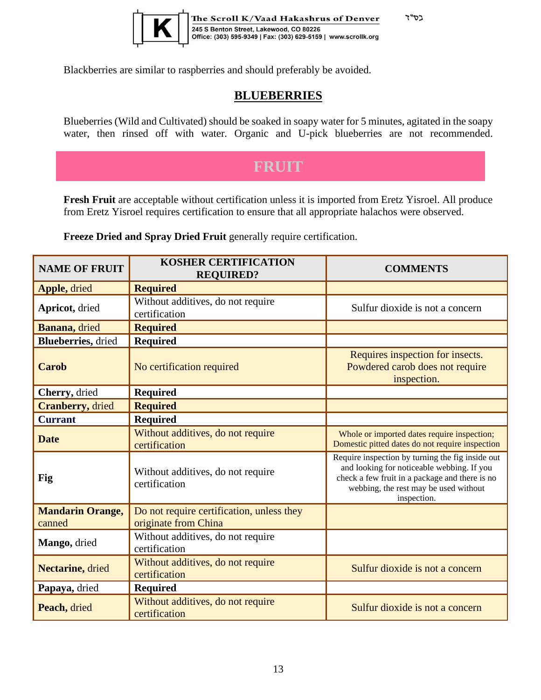

<span id="page-12-0"></span>Blackberries are similar to raspberries and should preferably be avoided.

#### **BLUEBERRIES**

בס"ד

Blueberries (Wild and Cultivated) should be soaked in soapy water for 5 minutes, agitated in the soapy water, then rinsed off with water. Organic and U-pick blueberries are not recommended.

# **FRUIT**

<span id="page-12-1"></span>**Fresh Fruit** are acceptable without certification unless it is imported from Eretz Yisroel. All produce from Eretz Yisroel requires certification to ensure that all appropriate halachos were observed.

**Freeze Dried and Spray Dried Fruit** generally require certification.

| <b>NAME OF FRUIT</b>              | <b>KOSHER CERTIFICATION</b><br><b>REQUIRED?</b>                   | <b>COMMENTS</b>                                                                                                                                                                                          |
|-----------------------------------|-------------------------------------------------------------------|----------------------------------------------------------------------------------------------------------------------------------------------------------------------------------------------------------|
| Apple, dried                      | <b>Required</b>                                                   |                                                                                                                                                                                                          |
| Apricot, dried                    | Without additives, do not require<br>certification                | Sulfur dioxide is not a concern                                                                                                                                                                          |
| Banana, dried                     | <b>Required</b>                                                   |                                                                                                                                                                                                          |
| <b>Blueberries</b> , dried        | <b>Required</b>                                                   |                                                                                                                                                                                                          |
| <b>Carob</b>                      | No certification required                                         | Requires inspection for insects.<br>Powdered carob does not require<br>inspection.                                                                                                                       |
| Cherry, dried                     | <b>Required</b>                                                   |                                                                                                                                                                                                          |
| <b>Cranberry</b> , dried          | <b>Required</b>                                                   |                                                                                                                                                                                                          |
| <b>Currant</b>                    | <b>Required</b>                                                   |                                                                                                                                                                                                          |
| <b>Date</b>                       | Without additives, do not require<br>certification                | Whole or imported dates require inspection;<br>Domestic pitted dates do not require inspection                                                                                                           |
| Fig                               | Without additives, do not require<br>certification                | Require inspection by turning the fig inside out<br>and looking for noticeable webbing. If you<br>check a few fruit in a package and there is no<br>webbing, the rest may be used without<br>inspection. |
| <b>Mandarin Orange,</b><br>canned | Do not require certification, unless they<br>originate from China |                                                                                                                                                                                                          |
| Mango, dried                      | Without additives, do not require<br>certification                |                                                                                                                                                                                                          |
| Nectarine, dried                  | Without additives, do not require<br>certification                | Sulfur dioxide is not a concern                                                                                                                                                                          |
| Papaya, dried                     | <b>Required</b>                                                   |                                                                                                                                                                                                          |
| Peach, dried                      | Without additives, do not require<br>certification                | Sulfur dioxide is not a concern                                                                                                                                                                          |